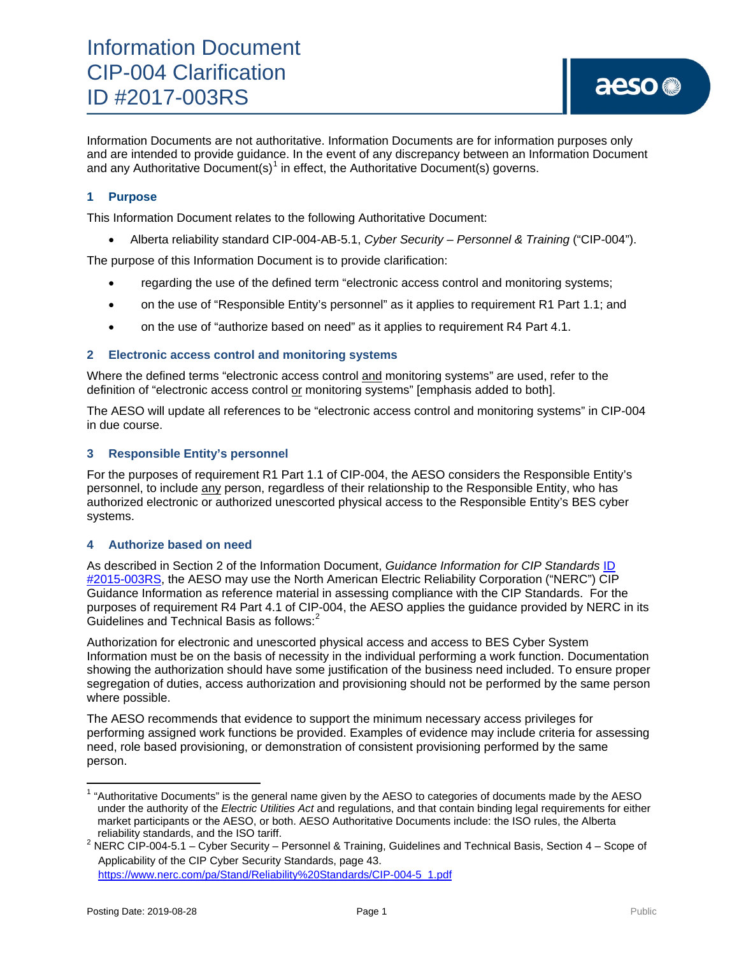Information Documents are not authoritative. Information Documents are for information purposes only and are intended to provide guidance. In the event of any discrepancy between an Information Document and any Authoritative Document(s)<sup>[1](#page-0-0)</sup> in effect, the Authoritative Document(s) governs.

## **1 Purpose**

This Information Document relates to the following Authoritative Document:

• Alberta reliability standard CIP-004-AB-5.1, *Cyber Security – Personnel & Training* ("CIP-004").

The purpose of this Information Document is to provide clarification:

- regarding the use of the defined term "electronic access control and monitoring systems;
- on the use of "Responsible Entity's personnel" as it applies to requirement R1 Part 1.1; and
- on the use of "authorize based on need" as it applies to requirement R4 Part 4.1.

#### **2 Electronic access control and monitoring systems**

Where the defined terms "electronic access control and monitoring systems" are used, refer to the definition of "electronic access control or monitoring systems" [emphasis added to both].

The AESO will update all references to be "electronic access control and monitoring systems" in CIP-004 in due course.

### **3 Responsible Entity's personnel**

For the purposes of requirement R1 Part 1.1 of CIP-004, the AESO considers the Responsible Entity's personnel, to include any person, regardless of their relationship to the Responsible Entity, who has authorized electronic or authorized unescorted physical access to the Responsible Entity's BES cyber systems.

#### **4 Authorize based on need**

As described in Section 2 of the Information Document, *Guidance Information for CIP Standards* [ID](https://www.aeso.ca/assets/Uploads/2015-003RS-Guidance-Information-for-CIP-Standards-2017-05-16.pdf)  [#2015-003RS,](https://www.aeso.ca/assets/Uploads/2015-003RS-Guidance-Information-for-CIP-Standards-2017-05-16.pdf) the AESO may use the North American Electric Reliability Corporation ("NERC") CIP Guidance Information as reference material in assessing compliance with the CIP Standards. For the purposes of requirement R4 Part 4.1 of CIP-004, the AESO applies the guidance provided by NERC in its Guidelines and Technical Basis as follows: $^2$  $^2$ 

Authorization for electronic and unescorted physical access and access to BES Cyber System Information must be on the basis of necessity in the individual performing a work function. Documentation showing the authorization should have some justification of the business need included. To ensure proper segregation of duties, access authorization and provisioning should not be performed by the same person where possible.

The AESO recommends that evidence to support the minimum necessary access privileges for performing assigned work functions be provided. Examples of evidence may include criteria for assessing need, role based provisioning, or demonstration of consistent provisioning performed by the same person.

<span id="page-0-0"></span> $1$  "Authoritative Documents" is the general name given by the AESO to categories of documents made by the AESO under the authority of the *Electric Utilities Act* and regulations, and that contain binding legal requirements for either market participants or the AESO, or both. AESO Authoritative Documents include: the ISO rules, the Alberta

<span id="page-0-1"></span>reliability standards, and the ISO tariff. <sup>2</sup> NERC CIP-004-5.1 – Cyber Security – Personnel & Training, Guidelines and Technical Basis, Section 4 – Scope of Applicability of the CIP Cyber Security Standards, page 43.